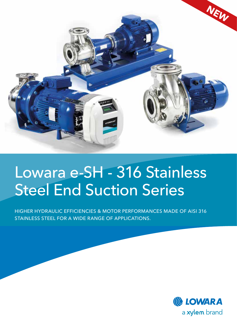

# Lowara e-SH - 316 Stainless Steel End Suction Series

HIGHER HYDRAULIC EFFICIENCIES & MOTOR PERFORMANCES MADE OF AISI 316 STAINLESS STEEL FOR A WIDE RANGE OF APPLICATIONS.

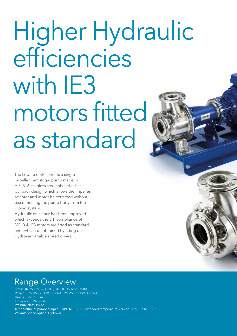# Higher Hydraulic efficiencies with IE3 motors fitted as standard

The Lowara e-SH series is a single impeller centrifugal pump made in AISI 316 stainless steel this series has a pullback design which allows the impeller, adapter and motor be extracted without disconnecting the pump body from the piping system.

Hydraulic efficiency has been improved which exceeds the ErP compliance of MEI 0.4, IE3 motors are fitted as standard and IE4 can be obtained by fitting our Hydrovar variable speed drives.

## Range Overview

Sizes: DN 25, DN 32, DN40, DN 50, DN 65 & DN80 Power: 0.75 kW – 75 kW (2-pole) 0.25 kW – 11 kW (4-pole) Heads up to: 110 m Flows up to:  $240 \text{ m}^3/\text{h}$ Pressure class: PN12 Temperature of pumped liquid: -10°C to +120°C, extended temperature, version -30°C up to +120°C Variable speed option: Hydrovar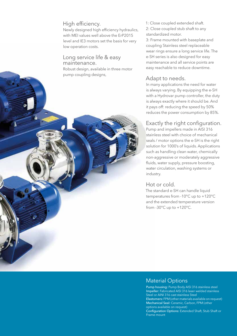#### High efficiency.

Newly designed high efficiency hydraulics, with MEI values well above the ErP2015 level and IE3 motors set the basis for very low operation costs.

#### Long service life & easy maintenance.

Robust design, available in three motor pump coupling designs,

1: Close coupled extended shaft. 2: Close coupled stub shaft to any standardized motor.

3: Frame mounted with baseplate and coupling Stainless steel replaceable wear rings ensure a long service life. The e-SH series is also designed for easy maintenance and all service points are easy reachable to reduce downtime.

#### Adapt to needs.

In many applications the need for water is always varying. By equipping the e-SH with a Hydrovar pump controller, the duty is always exactly where it should be. And it pays off: reducing the speed by 50% reduces the power consumption by 85%.

#### Exactly the right configuration.

Pump and impellers made in AISI 316 stainless steel with choice of mechanical seals / motor options the e-SH is the right solution for 1000's of liquids. Applications such as handling clean water, chemically non-aggressive or moderately aggressive fluids, water supply, pressure boosting, water circulation, washing systems or industry.

#### Hot or cold.

The standard e-SH can handle liquid temperatures from -10°C up to +120°C and the extended temperature version from -30°C up to +120°C.

#### Material Options

Pump housing: Pump Body AISI 316 stainless steel Impeller: Fabricated AISI 316 laser welded stainless Steel or AINI 316 cast stainless Steel Elastomers: FPM (other materials available on request) Mechanical Seal: Ceramic, Carbon, FPM (other options available on request) Configuration Options: Extended Shaft, Stub Shaft or Frame mount